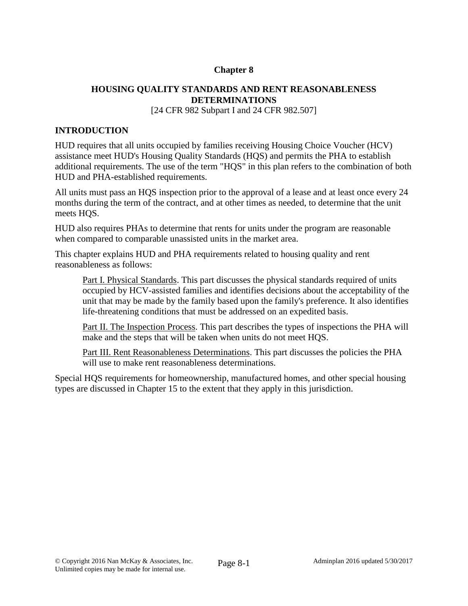# **Chapter 8**

# **HOUSING QUALITY STANDARDS AND RENT REASONABLENESS DETERMINATIONS**

[24 CFR 982 Subpart I and 24 CFR 982.507]

# **INTRODUCTION**

HUD requires that all units occupied by families receiving Housing Choice Voucher (HCV) assistance meet HUD's Housing Quality Standards (HQS) and permits the PHA to establish additional requirements. The use of the term "HQS" in this plan refers to the combination of both HUD and PHA-established requirements.

All units must pass an HQS inspection prior to the approval of a lease and at least once every 24 months during the term of the contract, and at other times as needed, to determine that the unit meets HQS.

HUD also requires PHAs to determine that rents for units under the program are reasonable when compared to comparable unassisted units in the market area.

This chapter explains HUD and PHA requirements related to housing quality and rent reasonableness as follows:

Part I. Physical Standards. This part discusses the physical standards required of units occupied by HCV-assisted families and identifies decisions about the acceptability of the unit that may be made by the family based upon the family's preference. It also identifies life-threatening conditions that must be addressed on an expedited basis.

Part II. The Inspection Process. This part describes the types of inspections the PHA will make and the steps that will be taken when units do not meet HQS.

Part III. Rent Reasonableness Determinations. This part discusses the policies the PHA will use to make rent reasonableness determinations.

Special HQS requirements for homeownership, manufactured homes, and other special housing types are discussed in Chapter 15 to the extent that they apply in this jurisdiction.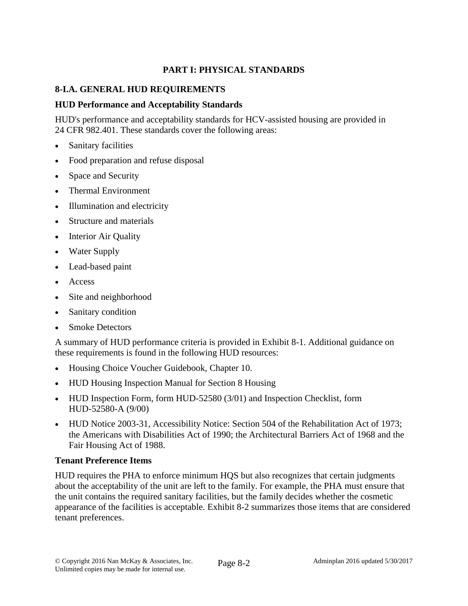# **PART I: PHYSICAL STANDARDS**

# **8-I.A. GENERAL HUD REQUIREMENTS**

# **HUD Performance and Acceptability Standards**

HUD's performance and acceptability standards for HCV-assisted housing are provided in 24 CFR 982.401. These standards cover the following areas:

- Sanitary facilities
- Food preparation and refuse disposal
- Space and Security
- Thermal Environment
- Illumination and electricity
- Structure and materials
- Interior Air Quality
- Water Supply
- Lead-based paint
- Access
- Site and neighborhood
- Sanitary condition
- Smoke Detectors

A summary of HUD performance criteria is provided in Exhibit 8-1. Additional guidance on these requirements is found in the following HUD resources:

- Housing Choice Voucher Guidebook, Chapter 10.
- HUD Housing Inspection Manual for Section 8 Housing
- HUD Inspection Form, form HUD-52580 (3/01) and Inspection Checklist, form HUD-52580-A (9/00)
- HUD Notice 2003-31, Accessibility Notice: Section 504 of the Rehabilitation Act of 1973; the Americans with Disabilities Act of 1990; the Architectural Barriers Act of 1968 and the Fair Housing Act of 1988.

## **Tenant Preference Items**

HUD requires the PHA to enforce minimum HQS but also recognizes that certain judgments about the acceptability of the unit are left to the family. For example, the PHA must ensure that the unit contains the required sanitary facilities, but the family decides whether the cosmetic appearance of the facilities is acceptable. Exhibit 8-2 summarizes those items that are considered tenant preferences.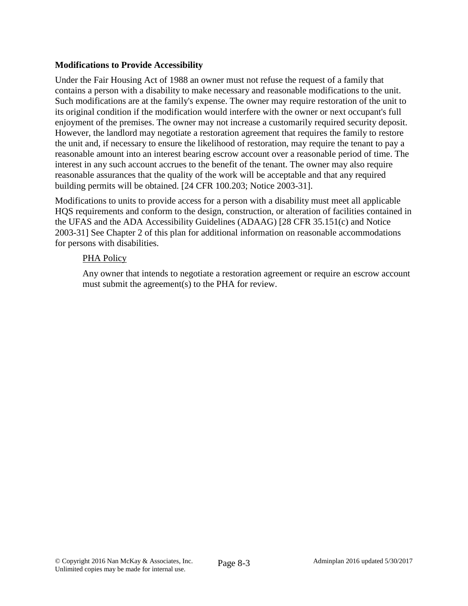## **Modifications to Provide Accessibility**

Under the Fair Housing Act of 1988 an owner must not refuse the request of a family that contains a person with a disability to make necessary and reasonable modifications to the unit. Such modifications are at the family's expense. The owner may require restoration of the unit to its original condition if the modification would interfere with the owner or next occupant's full enjoyment of the premises. The owner may not increase a customarily required security deposit. However, the landlord may negotiate a restoration agreement that requires the family to restore the unit and, if necessary to ensure the likelihood of restoration, may require the tenant to pay a reasonable amount into an interest bearing escrow account over a reasonable period of time. The interest in any such account accrues to the benefit of the tenant. The owner may also require reasonable assurances that the quality of the work will be acceptable and that any required building permits will be obtained. [24 CFR 100.203; Notice 2003-31].

Modifications to units to provide access for a person with a disability must meet all applicable HQS requirements and conform to the design, construction, or alteration of facilities contained in the UFAS and the ADA Accessibility Guidelines (ADAAG) [28 CFR 35.151(c) and Notice 2003-31] See Chapter 2 of this plan for additional information on reasonable accommodations for persons with disabilities.

## PHA Policy

Any owner that intends to negotiate a restoration agreement or require an escrow account must submit the agreement(s) to the PHA for review.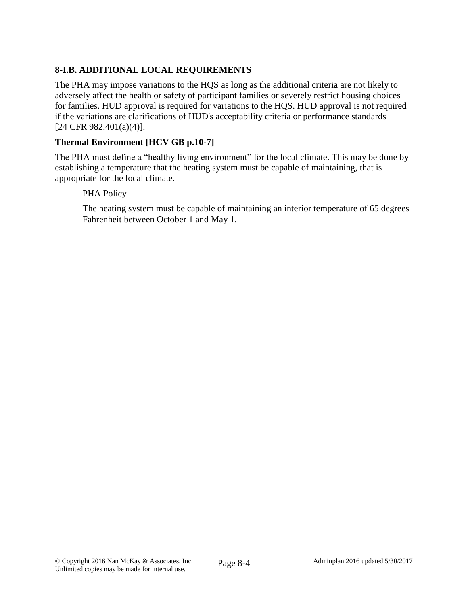# **8-I.B. ADDITIONAL LOCAL REQUIREMENTS**

The PHA may impose variations to the HQS as long as the additional criteria are not likely to adversely affect the health or safety of participant families or severely restrict housing choices for families. HUD approval is required for variations to the HQS. HUD approval is not required if the variations are clarifications of HUD's acceptability criteria or performance standards [24 CFR 982.401(a)(4)].

# **Thermal Environment [HCV GB p.10-7]**

The PHA must define a "healthy living environment" for the local climate. This may be done by establishing a temperature that the heating system must be capable of maintaining, that is appropriate for the local climate.

## PHA Policy

The heating system must be capable of maintaining an interior temperature of 65 degrees Fahrenheit between October 1 and May 1.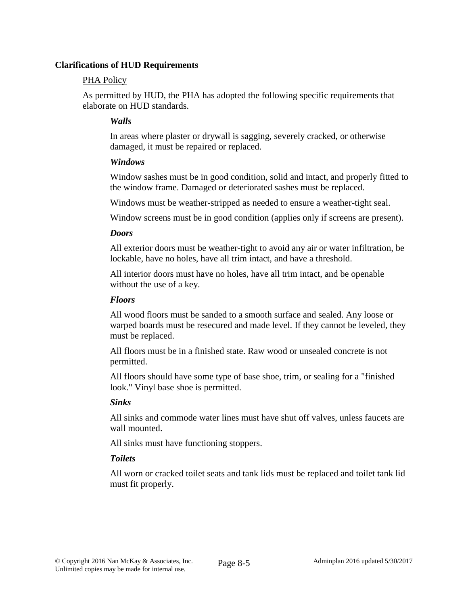#### **Clarifications of HUD Requirements**

#### PHA Policy

As permitted by HUD, the PHA has adopted the following specific requirements that elaborate on HUD standards.

## *Walls*

In areas where plaster or drywall is sagging, severely cracked, or otherwise damaged, it must be repaired or replaced.

## *Windows*

Window sashes must be in good condition, solid and intact, and properly fitted to the window frame. Damaged or deteriorated sashes must be replaced.

Windows must be weather-stripped as needed to ensure a weather-tight seal.

Window screens must be in good condition (applies only if screens are present).

#### *Doors*

All exterior doors must be weather-tight to avoid any air or water infiltration, be lockable, have no holes, have all trim intact, and have a threshold.

All interior doors must have no holes, have all trim intact, and be openable without the use of a key.

#### *Floors*

All wood floors must be sanded to a smooth surface and sealed. Any loose or warped boards must be resecured and made level. If they cannot be leveled, they must be replaced.

All floors must be in a finished state. Raw wood or unsealed concrete is not permitted.

All floors should have some type of base shoe, trim, or sealing for a "finished look." Vinyl base shoe is permitted.

## *Sinks*

All sinks and commode water lines must have shut off valves, unless faucets are wall mounted.

All sinks must have functioning stoppers.

## *Toilets*

All worn or cracked toilet seats and tank lids must be replaced and toilet tank lid must fit properly.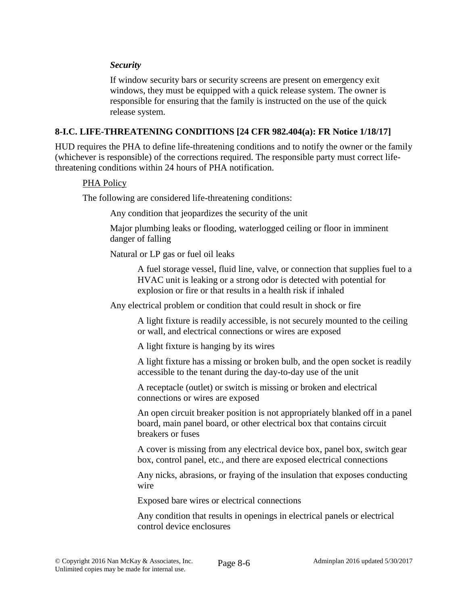#### *Security*

If window security bars or security screens are present on emergency exit windows, they must be equipped with a quick release system. The owner is responsible for ensuring that the family is instructed on the use of the quick release system.

#### **8-I.C. LIFE-THREATENING CONDITIONS [24 CFR 982.404(a): FR Notice 1/18/17]**

HUD requires the PHA to define life-threatening conditions and to notify the owner or the family (whichever is responsible) of the corrections required. The responsible party must correct lifethreatening conditions within 24 hours of PHA notification.

#### PHA Policy

The following are considered life-threatening conditions:

Any condition that jeopardizes the security of the unit

Major plumbing leaks or flooding, waterlogged ceiling or floor in imminent danger of falling

Natural or LP gas or fuel oil leaks

A fuel storage vessel, fluid line, valve, or connection that supplies fuel to a HVAC unit is leaking or a strong odor is detected with potential for explosion or fire or that results in a health risk if inhaled

Any electrical problem or condition that could result in shock or fire

A light fixture is readily accessible, is not securely mounted to the ceiling or wall, and electrical connections or wires are exposed

A light fixture is hanging by its wires

A light fixture has a missing or broken bulb, and the open socket is readily accessible to the tenant during the day-to-day use of the unit

A receptacle (outlet) or switch is missing or broken and electrical connections or wires are exposed

An open circuit breaker position is not appropriately blanked off in a panel board, main panel board, or other electrical box that contains circuit breakers or fuses

A cover is missing from any electrical device box, panel box, switch gear box, control panel, etc., and there are exposed electrical connections

Any nicks, abrasions, or fraying of the insulation that exposes conducting wire

Exposed bare wires or electrical connections

Any condition that results in openings in electrical panels or electrical control device enclosures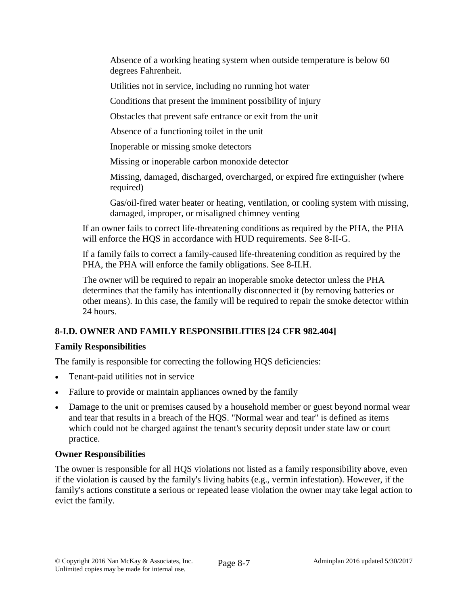Absence of a working heating system when outside temperature is below 60 degrees Fahrenheit.

Utilities not in service, including no running hot water

Conditions that present the imminent possibility of injury

Obstacles that prevent safe entrance or exit from the unit

Absence of a functioning toilet in the unit

Inoperable or missing smoke detectors

Missing or inoperable carbon monoxide detector

Missing, damaged, discharged, overcharged, or expired fire extinguisher (where required)

Gas/oil-fired water heater or heating, ventilation, or cooling system with missing, damaged, improper, or misaligned chimney venting

If an owner fails to correct life-threatening conditions as required by the PHA, the PHA will enforce the HQS in accordance with HUD requirements. See 8-II-G.

If a family fails to correct a family-caused life-threatening condition as required by the PHA, the PHA will enforce the family obligations. See 8-II.H.

The owner will be required to repair an inoperable smoke detector unless the PHA determines that the family has intentionally disconnected it (by removing batteries or other means). In this case, the family will be required to repair the smoke detector within 24 hours.

# **8-I.D. OWNER AND FAMILY RESPONSIBILITIES [24 CFR 982.404]**

# **Family Responsibilities**

The family is responsible for correcting the following HQS deficiencies:

- Tenant-paid utilities not in service
- Failure to provide or maintain appliances owned by the family
- Damage to the unit or premises caused by a household member or guest beyond normal wear and tear that results in a breach of the HQS. "Normal wear and tear" is defined as items which could not be charged against the tenant's security deposit under state law or court practice.

# **Owner Responsibilities**

The owner is responsible for all HQS violations not listed as a family responsibility above, even if the violation is caused by the family's living habits (e.g., vermin infestation). However, if the family's actions constitute a serious or repeated lease violation the owner may take legal action to evict the family.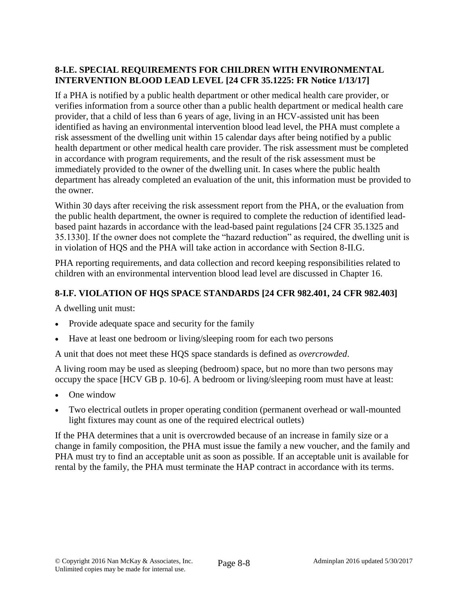# **8-I.E. SPECIAL REQUIREMENTS FOR CHILDREN WITH ENVIRONMENTAL INTERVENTION BLOOD LEAD LEVEL [24 CFR 35.1225: FR Notice 1/13/17]**

If a PHA is notified by a public health department or other medical health care provider, or verifies information from a source other than a public health department or medical health care provider, that a child of less than 6 years of age, living in an HCV-assisted unit has been identified as having an environmental intervention blood lead level, the PHA must complete a risk assessment of the dwelling unit within 15 calendar days after being notified by a public health department or other medical health care provider. The risk assessment must be completed in accordance with program requirements, and the result of the risk assessment must be immediately provided to the owner of the dwelling unit. In cases where the public health department has already completed an evaluation of the unit, this information must be provided to the owner.

Within 30 days after receiving the risk assessment report from the PHA, or the evaluation from the public health department, the owner is required to complete the reduction of identified leadbased paint hazards in accordance with the lead-based paint regulations [24 CFR 35.1325 and 35.1330]. If the owner does not complete the "hazard reduction" as required, the dwelling unit is in violation of HQS and the PHA will take action in accordance with Section 8-II.G.

PHA reporting requirements, and data collection and record keeping responsibilities related to children with an environmental intervention blood lead level are discussed in Chapter 16.

# **8-I.F. VIOLATION OF HQS SPACE STANDARDS [24 CFR 982.401, 24 CFR 982.403]**

A dwelling unit must:

- Provide adequate space and security for the family
- Have at least one bedroom or living/sleeping room for each two persons

A unit that does not meet these HQS space standards is defined as *overcrowded*.

A living room may be used as sleeping (bedroom) space, but no more than two persons may occupy the space [HCV GB p. 10-6]. A bedroom or living/sleeping room must have at least:

- One window
- Two electrical outlets in proper operating condition (permanent overhead or wall-mounted light fixtures may count as one of the required electrical outlets)

If the PHA determines that a unit is overcrowded because of an increase in family size or a change in family composition, the PHA must issue the family a new voucher, and the family and PHA must try to find an acceptable unit as soon as possible. If an acceptable unit is available for rental by the family, the PHA must terminate the HAP contract in accordance with its terms.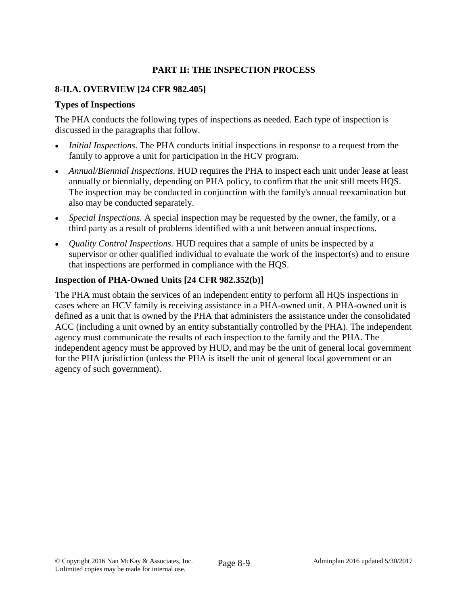# **PART II: THE INSPECTION PROCESS**

# **8-II.A. OVERVIEW [24 CFR 982.405]**

# **Types of Inspections**

The PHA conducts the following types of inspections as needed. Each type of inspection is discussed in the paragraphs that follow.

- *Initial Inspections*. The PHA conducts initial inspections in response to a request from the family to approve a unit for participation in the HCV program.
- *Annual/Biennial Inspections*. HUD requires the PHA to inspect each unit under lease at least annually or biennially, depending on PHA policy, to confirm that the unit still meets HQS. The inspection may be conducted in conjunction with the family's annual reexamination but also may be conducted separately.
- *Special Inspections.* A special inspection may be requested by the owner, the family, or a third party as a result of problems identified with a unit between annual inspections.
- *Quality Control Inspections.* HUD requires that a sample of units be inspected by a supervisor or other qualified individual to evaluate the work of the inspector( $s$ ) and to ensure that inspections are performed in compliance with the HQS.

# **Inspection of PHA-Owned Units [24 CFR 982.352(b)]**

The PHA must obtain the services of an independent entity to perform all HQS inspections in cases where an HCV family is receiving assistance in a PHA-owned unit. A PHA-owned unit is defined as a unit that is owned by the PHA that administers the assistance under the consolidated ACC (including a unit owned by an entity substantially controlled by the PHA). The independent agency must communicate the results of each inspection to the family and the PHA. The independent agency must be approved by HUD, and may be the unit of general local government for the PHA jurisdiction (unless the PHA is itself the unit of general local government or an agency of such government).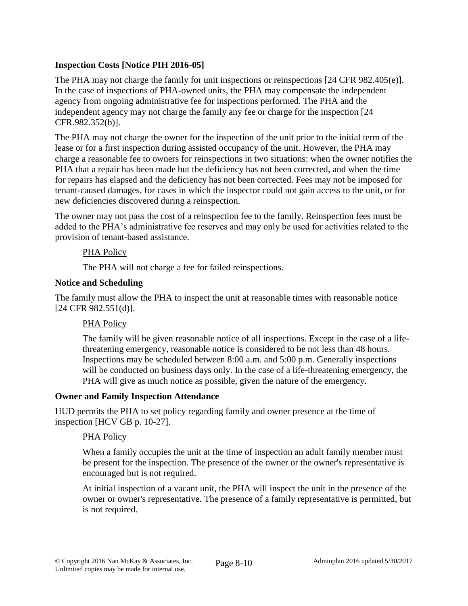# **Inspection Costs [Notice PIH 2016-05]**

The PHA may not charge the family for unit inspections or reinspections [24 CFR 982.405(e)]. In the case of inspections of PHA-owned units, the PHA may compensate the independent agency from ongoing administrative fee for inspections performed. The PHA and the independent agency may not charge the family any fee or charge for the inspection [24 CFR.982.352(b)].

The PHA may not charge the owner for the inspection of the unit prior to the initial term of the lease or for a first inspection during assisted occupancy of the unit. However, the PHA may charge a reasonable fee to owners for reinspections in two situations: when the owner notifies the PHA that a repair has been made but the deficiency has not been corrected, and when the time for repairs has elapsed and the deficiency has not been corrected. Fees may not be imposed for tenant-caused damages, for cases in which the inspector could not gain access to the unit, or for new deficiencies discovered during a reinspection.

The owner may not pass the cost of a reinspection fee to the family. Reinspection fees must be added to the PHA's administrative fee reserves and may only be used for activities related to the provision of tenant-based assistance.

# PHA Policy

The PHA will not charge a fee for failed reinspections.

## **Notice and Scheduling**

The family must allow the PHA to inspect the unit at reasonable times with reasonable notice [24 CFR 982.551(d)].

## PHA Policy

The family will be given reasonable notice of all inspections. Except in the case of a lifethreatening emergency, reasonable notice is considered to be not less than 48 hours. Inspections may be scheduled between 8:00 a.m. and 5:00 p.m. Generally inspections will be conducted on business days only. In the case of a life-threatening emergency, the PHA will give as much notice as possible, given the nature of the emergency.

## **Owner and Family Inspection Attendance**

HUD permits the PHA to set policy regarding family and owner presence at the time of inspection [HCV GB p. 10-27].

## PHA Policy

When a family occupies the unit at the time of inspection an adult family member must be present for the inspection. The presence of the owner or the owner's representative is encouraged but is not required.

At initial inspection of a vacant unit, the PHA will inspect the unit in the presence of the owner or owner's representative. The presence of a family representative is permitted, but is not required.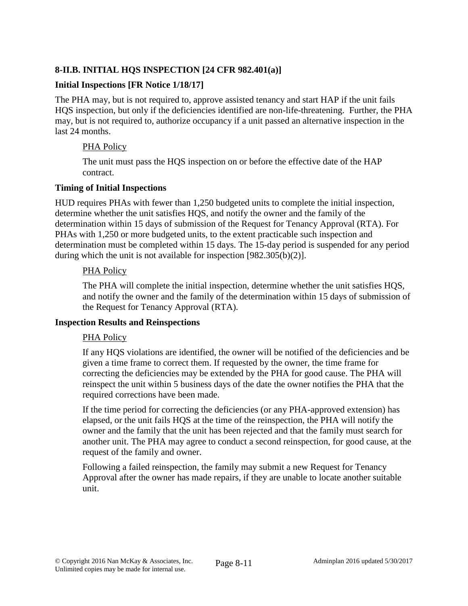# **8-II.B. INITIAL HQS INSPECTION [24 CFR 982.401(a)]**

## **Initial Inspections [FR Notice 1/18/17]**

The PHA may, but is not required to, approve assisted tenancy and start HAP if the unit fails HQS inspection, but only if the deficiencies identified are non-life-threatening. Further, the PHA may, but is not required to, authorize occupancy if a unit passed an alternative inspection in the last 24 months.

## PHA Policy

The unit must pass the HQS inspection on or before the effective date of the HAP contract.

#### **Timing of Initial Inspections**

HUD requires PHAs with fewer than 1,250 budgeted units to complete the initial inspection, determine whether the unit satisfies HQS, and notify the owner and the family of the determination within 15 days of submission of the Request for Tenancy Approval (RTA). For PHAs with 1,250 or more budgeted units, to the extent practicable such inspection and determination must be completed within 15 days. The 15-day period is suspended for any period during which the unit is not available for inspection [982.305(b)(2)].

#### PHA Policy

The PHA will complete the initial inspection, determine whether the unit satisfies HQS, and notify the owner and the family of the determination within 15 days of submission of the Request for Tenancy Approval (RTA).

#### **Inspection Results and Reinspections**

## PHA Policy

If any HQS violations are identified, the owner will be notified of the deficiencies and be given a time frame to correct them. If requested by the owner, the time frame for correcting the deficiencies may be extended by the PHA for good cause. The PHA will reinspect the unit within 5 business days of the date the owner notifies the PHA that the required corrections have been made.

If the time period for correcting the deficiencies (or any PHA-approved extension) has elapsed, or the unit fails HQS at the time of the reinspection, the PHA will notify the owner and the family that the unit has been rejected and that the family must search for another unit. The PHA may agree to conduct a second reinspection, for good cause, at the request of the family and owner.

Following a failed reinspection, the family may submit a new Request for Tenancy Approval after the owner has made repairs, if they are unable to locate another suitable unit.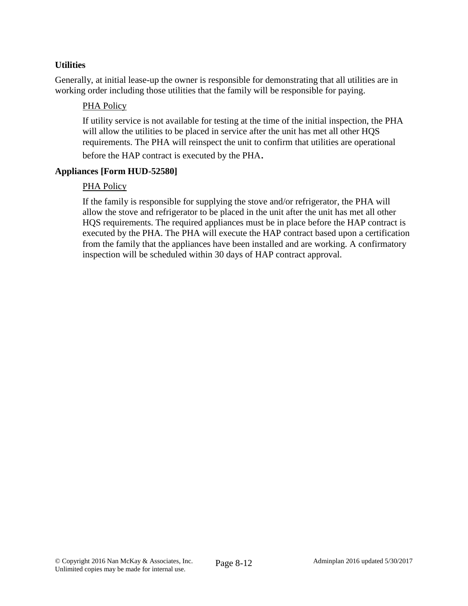# **Utilities**

Generally, at initial lease-up the owner is responsible for demonstrating that all utilities are in working order including those utilities that the family will be responsible for paying.

## PHA Policy

If utility service is not available for testing at the time of the initial inspection, the PHA will allow the utilities to be placed in service after the unit has met all other HQS requirements. The PHA will reinspect the unit to confirm that utilities are operational

before the HAP contract is executed by the PHA.

## **Appliances [Form HUD-52580]**

## PHA Policy

If the family is responsible for supplying the stove and/or refrigerator, the PHA will allow the stove and refrigerator to be placed in the unit after the unit has met all other HQS requirements. The required appliances must be in place before the HAP contract is executed by the PHA. The PHA will execute the HAP contract based upon a certification from the family that the appliances have been installed and are working. A confirmatory inspection will be scheduled within 30 days of HAP contract approval.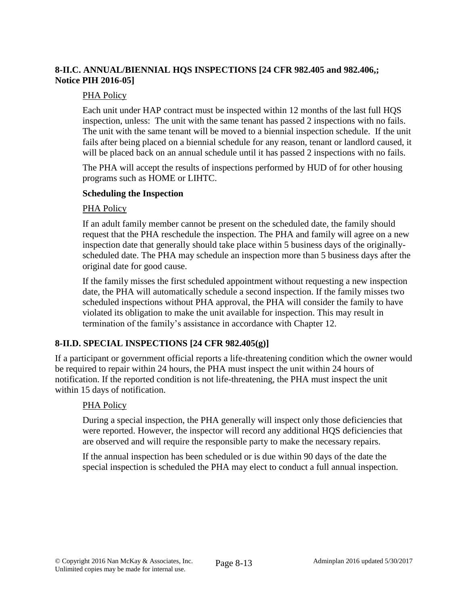# **8-II.C. ANNUAL/BIENNIAL HQS INSPECTIONS [24 CFR 982.405 and 982.406,; Notice PIH 2016-05]**

# PHA Policy

Each unit under HAP contract must be inspected within 12 months of the last full HQS inspection, unless: The unit with the same tenant has passed 2 inspections with no fails. The unit with the same tenant will be moved to a biennial inspection schedule. If the unit fails after being placed on a biennial schedule for any reason, tenant or landlord caused, it will be placed back on an annual schedule until it has passed 2 inspections with no fails.

The PHA will accept the results of inspections performed by HUD of for other housing programs such as HOME or LIHTC.

## **Scheduling the Inspection**

## PHA Policy

If an adult family member cannot be present on the scheduled date, the family should request that the PHA reschedule the inspection. The PHA and family will agree on a new inspection date that generally should take place within 5 business days of the originallyscheduled date. The PHA may schedule an inspection more than 5 business days after the original date for good cause.

If the family misses the first scheduled appointment without requesting a new inspection date, the PHA will automatically schedule a second inspection. If the family misses two scheduled inspections without PHA approval, the PHA will consider the family to have violated its obligation to make the unit available for inspection. This may result in termination of the family's assistance in accordance with Chapter 12.

# **8-II.D. SPECIAL INSPECTIONS [24 CFR 982.405(g)]**

If a participant or government official reports a life-threatening condition which the owner would be required to repair within 24 hours, the PHA must inspect the unit within 24 hours of notification. If the reported condition is not life-threatening, the PHA must inspect the unit within 15 days of notification.

## PHA Policy

During a special inspection, the PHA generally will inspect only those deficiencies that were reported. However, the inspector will record any additional HQS deficiencies that are observed and will require the responsible party to make the necessary repairs.

If the annual inspection has been scheduled or is due within 90 days of the date the special inspection is scheduled the PHA may elect to conduct a full annual inspection.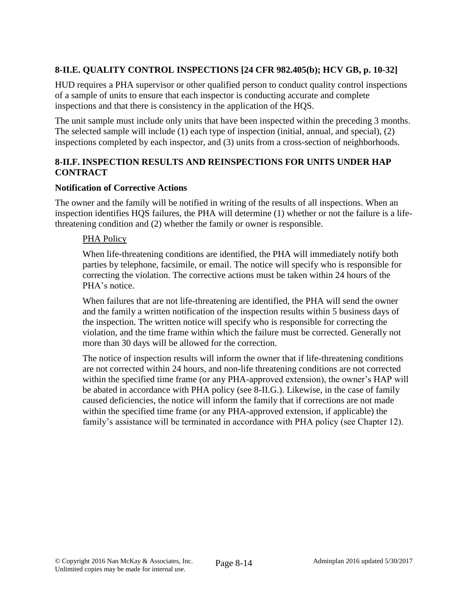# **8-II.E. QUALITY CONTROL INSPECTIONS [24 CFR 982.405(b); HCV GB, p. 10-32]**

HUD requires a PHA supervisor or other qualified person to conduct quality control inspections of a sample of units to ensure that each inspector is conducting accurate and complete inspections and that there is consistency in the application of the HQS.

The unit sample must include only units that have been inspected within the preceding 3 months. The selected sample will include (1) each type of inspection (initial, annual, and special), (2) inspections completed by each inspector, and (3) units from a cross-section of neighborhoods.

# **8-II.F. INSPECTION RESULTS AND REINSPECTIONS FOR UNITS UNDER HAP CONTRACT**

# **Notification of Corrective Actions**

The owner and the family will be notified in writing of the results of all inspections. When an inspection identifies HQS failures, the PHA will determine (1) whether or not the failure is a lifethreatening condition and (2) whether the family or owner is responsible.

## PHA Policy

When life-threatening conditions are identified, the PHA will immediately notify both parties by telephone, facsimile, or email. The notice will specify who is responsible for correcting the violation. The corrective actions must be taken within 24 hours of the PHA's notice.

When failures that are not life-threatening are identified, the PHA will send the owner and the family a written notification of the inspection results within 5 business days of the inspection. The written notice will specify who is responsible for correcting the violation, and the time frame within which the failure must be corrected. Generally not more than 30 days will be allowed for the correction.

The notice of inspection results will inform the owner that if life-threatening conditions are not corrected within 24 hours, and non-life threatening conditions are not corrected within the specified time frame (or any PHA-approved extension), the owner's HAP will be abated in accordance with PHA policy (see 8-II.G.). Likewise, in the case of family caused deficiencies, the notice will inform the family that if corrections are not made within the specified time frame (or any PHA-approved extension, if applicable) the family's assistance will be terminated in accordance with PHA policy (see Chapter 12).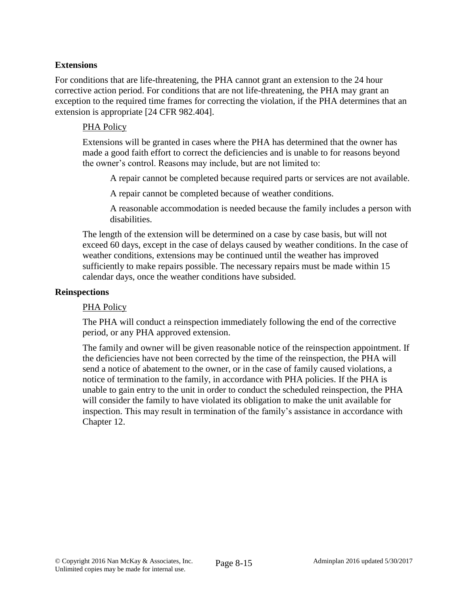## **Extensions**

For conditions that are life-threatening, the PHA cannot grant an extension to the 24 hour corrective action period. For conditions that are not life-threatening, the PHA may grant an exception to the required time frames for correcting the violation, if the PHA determines that an extension is appropriate [24 CFR 982.404].

#### PHA Policy

Extensions will be granted in cases where the PHA has determined that the owner has made a good faith effort to correct the deficiencies and is unable to for reasons beyond the owner's control. Reasons may include, but are not limited to:

A repair cannot be completed because required parts or services are not available.

A repair cannot be completed because of weather conditions.

A reasonable accommodation is needed because the family includes a person with disabilities.

The length of the extension will be determined on a case by case basis, but will not exceed 60 days, except in the case of delays caused by weather conditions. In the case of weather conditions, extensions may be continued until the weather has improved sufficiently to make repairs possible. The necessary repairs must be made within 15 calendar days, once the weather conditions have subsided.

#### **Reinspections**

#### PHA Policy

The PHA will conduct a reinspection immediately following the end of the corrective period, or any PHA approved extension.

The family and owner will be given reasonable notice of the reinspection appointment. If the deficiencies have not been corrected by the time of the reinspection, the PHA will send a notice of abatement to the owner, or in the case of family caused violations, a notice of termination to the family, in accordance with PHA policies. If the PHA is unable to gain entry to the unit in order to conduct the scheduled reinspection, the PHA will consider the family to have violated its obligation to make the unit available for inspection. This may result in termination of the family's assistance in accordance with Chapter 12.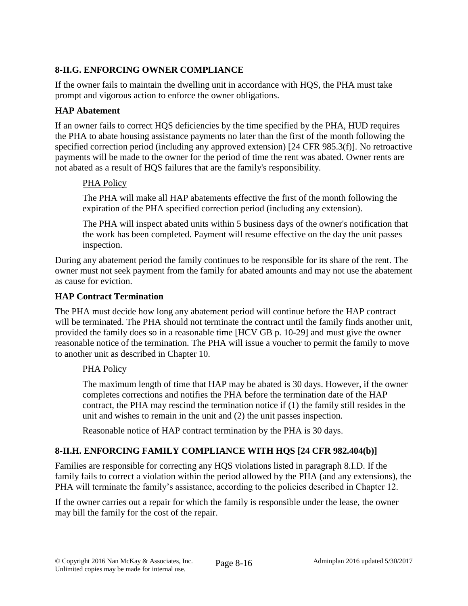# **8-II.G. ENFORCING OWNER COMPLIANCE**

If the owner fails to maintain the dwelling unit in accordance with HQS, the PHA must take prompt and vigorous action to enforce the owner obligations.

# **HAP Abatement**

If an owner fails to correct HQS deficiencies by the time specified by the PHA, HUD requires the PHA to abate housing assistance payments no later than the first of the month following the specified correction period (including any approved extension) [24 CFR 985.3(f)]. No retroactive payments will be made to the owner for the period of time the rent was abated. Owner rents are not abated as a result of HQS failures that are the family's responsibility.

# PHA Policy

The PHA will make all HAP abatements effective the first of the month following the expiration of the PHA specified correction period (including any extension).

The PHA will inspect abated units within 5 business days of the owner's notification that the work has been completed. Payment will resume effective on the day the unit passes inspection.

During any abatement period the family continues to be responsible for its share of the rent. The owner must not seek payment from the family for abated amounts and may not use the abatement as cause for eviction.

# **HAP Contract Termination**

The PHA must decide how long any abatement period will continue before the HAP contract will be terminated. The PHA should not terminate the contract until the family finds another unit, provided the family does so in a reasonable time [HCV GB p. 10-29] and must give the owner reasonable notice of the termination. The PHA will issue a voucher to permit the family to move to another unit as described in Chapter 10.

## PHA Policy

The maximum length of time that HAP may be abated is 30 days. However, if the owner completes corrections and notifies the PHA before the termination date of the HAP contract, the PHA may rescind the termination notice if (1) the family still resides in the unit and wishes to remain in the unit and (2) the unit passes inspection.

Reasonable notice of HAP contract termination by the PHA is 30 days.

# **8-II.H. ENFORCING FAMILY COMPLIANCE WITH HQS [24 CFR 982.404(b)]**

Families are responsible for correcting any HQS violations listed in paragraph 8.I.D. If the family fails to correct a violation within the period allowed by the PHA (and any extensions), the PHA will terminate the family's assistance, according to the policies described in Chapter 12.

If the owner carries out a repair for which the family is responsible under the lease, the owner may bill the family for the cost of the repair.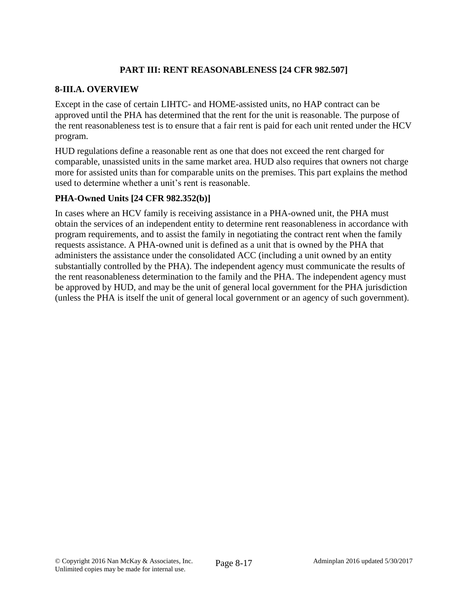# **PART III: RENT REASONABLENESS [24 CFR 982.507]**

# **8-III.A. OVERVIEW**

Except in the case of certain LIHTC- and HOME-assisted units, no HAP contract can be approved until the PHA has determined that the rent for the unit is reasonable. The purpose of the rent reasonableness test is to ensure that a fair rent is paid for each unit rented under the HCV program.

HUD regulations define a reasonable rent as one that does not exceed the rent charged for comparable, unassisted units in the same market area. HUD also requires that owners not charge more for assisted units than for comparable units on the premises. This part explains the method used to determine whether a unit's rent is reasonable.

# **PHA-Owned Units [24 CFR 982.352(b)]**

In cases where an HCV family is receiving assistance in a PHA-owned unit, the PHA must obtain the services of an independent entity to determine rent reasonableness in accordance with program requirements, and to assist the family in negotiating the contract rent when the family requests assistance. A PHA-owned unit is defined as a unit that is owned by the PHA that administers the assistance under the consolidated ACC (including a unit owned by an entity substantially controlled by the PHA). The independent agency must communicate the results of the rent reasonableness determination to the family and the PHA. The independent agency must be approved by HUD, and may be the unit of general local government for the PHA jurisdiction (unless the PHA is itself the unit of general local government or an agency of such government).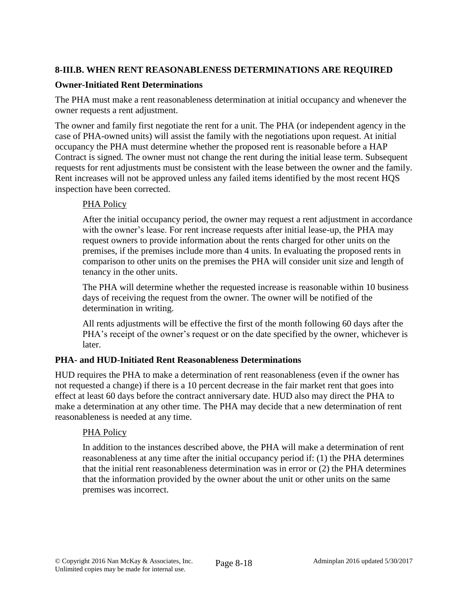# **8-III.B. WHEN RENT REASONABLENESS DETERMINATIONS ARE REQUIRED**

## **Owner-Initiated Rent Determinations**

The PHA must make a rent reasonableness determination at initial occupancy and whenever the owner requests a rent adjustment.

The owner and family first negotiate the rent for a unit. The PHA (or independent agency in the case of PHA-owned units) will assist the family with the negotiations upon request. At initial occupancy the PHA must determine whether the proposed rent is reasonable before a HAP Contract is signed. The owner must not change the rent during the initial lease term. Subsequent requests for rent adjustments must be consistent with the lease between the owner and the family. Rent increases will not be approved unless any failed items identified by the most recent HQS inspection have been corrected.

# PHA Policy

After the initial occupancy period, the owner may request a rent adjustment in accordance with the owner's lease. For rent increase requests after initial lease-up, the PHA may request owners to provide information about the rents charged for other units on the premises, if the premises include more than 4 units. In evaluating the proposed rents in comparison to other units on the premises the PHA will consider unit size and length of tenancy in the other units.

The PHA will determine whether the requested increase is reasonable within 10 business days of receiving the request from the owner. The owner will be notified of the determination in writing.

All rents adjustments will be effective the first of the month following 60 days after the PHA's receipt of the owner's request or on the date specified by the owner, whichever is later.

## **PHA- and HUD-Initiated Rent Reasonableness Determinations**

HUD requires the PHA to make a determination of rent reasonableness (even if the owner has not requested a change) if there is a 10 percent decrease in the fair market rent that goes into effect at least 60 days before the contract anniversary date. HUD also may direct the PHA to make a determination at any other time. The PHA may decide that a new determination of rent reasonableness is needed at any time.

## PHA Policy

In addition to the instances described above, the PHA will make a determination of rent reasonableness at any time after the initial occupancy period if: (1) the PHA determines that the initial rent reasonableness determination was in error or (2) the PHA determines that the information provided by the owner about the unit or other units on the same premises was incorrect.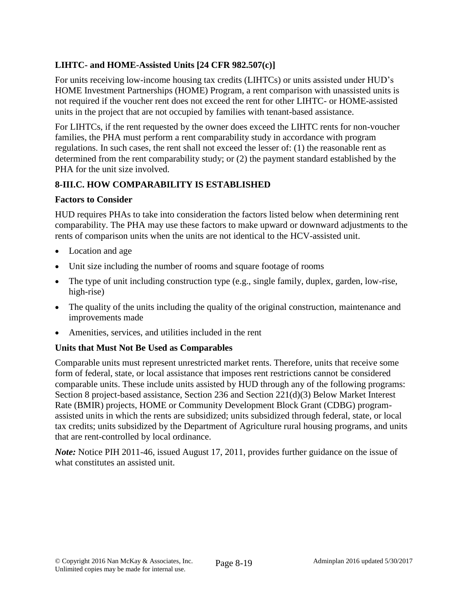# **LIHTC- and HOME-Assisted Units [24 CFR 982.507(c)]**

For units receiving low-income housing tax credits (LIHTCs) or units assisted under HUD's HOME Investment Partnerships (HOME) Program, a rent comparison with unassisted units is not required if the voucher rent does not exceed the rent for other LIHTC- or HOME-assisted units in the project that are not occupied by families with tenant-based assistance.

For LIHTCs, if the rent requested by the owner does exceed the LIHTC rents for non-voucher families, the PHA must perform a rent comparability study in accordance with program regulations. In such cases, the rent shall not exceed the lesser of: (1) the reasonable rent as determined from the rent comparability study; or (2) the payment standard established by the PHA for the unit size involved.

# **8-III.C. HOW COMPARABILITY IS ESTABLISHED**

# **Factors to Consider**

HUD requires PHAs to take into consideration the factors listed below when determining rent comparability. The PHA may use these factors to make upward or downward adjustments to the rents of comparison units when the units are not identical to the HCV-assisted unit.

- Location and age
- Unit size including the number of rooms and square footage of rooms
- The type of unit including construction type (e.g., single family, duplex, garden, low-rise, high-rise)
- The quality of the units including the quality of the original construction, maintenance and improvements made
- Amenities, services, and utilities included in the rent

# **Units that Must Not Be Used as Comparables**

Comparable units must represent unrestricted market rents. Therefore, units that receive some form of federal, state, or local assistance that imposes rent restrictions cannot be considered comparable units. These include units assisted by HUD through any of the following programs: Section 8 project-based assistance, Section 236 and Section 221(d)(3) Below Market Interest Rate (BMIR) projects, HOME or Community Development Block Grant (CDBG) programassisted units in which the rents are subsidized; units subsidized through federal, state, or local tax credits; units subsidized by the Department of Agriculture rural housing programs, and units that are rent-controlled by local ordinance.

*Note:* Notice PIH 2011-46, issued August 17, 2011, provides further guidance on the issue of what constitutes an assisted unit.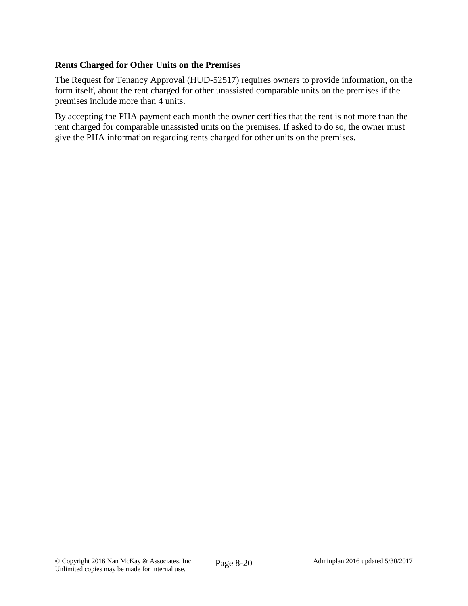# **Rents Charged for Other Units on the Premises**

The Request for Tenancy Approval (HUD-52517) requires owners to provide information, on the form itself, about the rent charged for other unassisted comparable units on the premises if the premises include more than 4 units.

By accepting the PHA payment each month the owner certifies that the rent is not more than the rent charged for comparable unassisted units on the premises. If asked to do so, the owner must give the PHA information regarding rents charged for other units on the premises.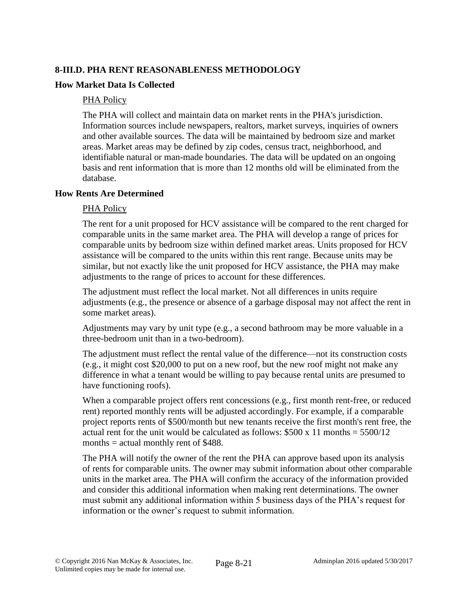# **8-III.D. PHA RENT REASONABLENESS METHODOLOGY**

#### **How Market Data Is Collected**

#### PHA Policy

The PHA will collect and maintain data on market rents in the PHA's jurisdiction. Information sources include newspapers, realtors, market surveys, inquiries of owners and other available sources. The data will be maintained by bedroom size and market areas. Market areas may be defined by zip codes, census tract, neighborhood, and identifiable natural or man-made boundaries. The data will be updated on an ongoing basis and rent information that is more than 12 months old will be eliminated from the database.

#### **How Rents Are Determined**

#### PHA Policy

The rent for a unit proposed for HCV assistance will be compared to the rent charged for comparable units in the same market area. The PHA will develop a range of prices for comparable units by bedroom size within defined market areas. Units proposed for HCV assistance will be compared to the units within this rent range. Because units may be similar, but not exactly like the unit proposed for HCV assistance, the PHA may make adjustments to the range of prices to account for these differences.

The adjustment must reflect the local market. Not all differences in units require adjustments (e.g., the presence or absence of a garbage disposal may not affect the rent in some market areas).

Adjustments may vary by unit type (e.g., a second bathroom may be more valuable in a three-bedroom unit than in a two-bedroom).

The adjustment must reflect the rental value of the difference—not its construction costs (e.g., it might cost \$20,000 to put on a new roof, but the new roof might not make any difference in what a tenant would be willing to pay because rental units are presumed to have functioning roofs).

When a comparable project offers rent concessions (e.g., first month rent-free, or reduced rent) reported monthly rents will be adjusted accordingly. For example, if a comparable project reports rents of \$500/month but new tenants receive the first month's rent free, the actual rent for the unit would be calculated as follows:  $$500 \times 11$  months =  $5500/12$ months  $=$  actual monthly rent of \$488.

The PHA will notify the owner of the rent the PHA can approve based upon its analysis of rents for comparable units. The owner may submit information about other comparable units in the market area. The PHA will confirm the accuracy of the information provided and consider this additional information when making rent determinations. The owner must submit any additional information within 5 business days of the PHA's request for information or the owner's request to submit information.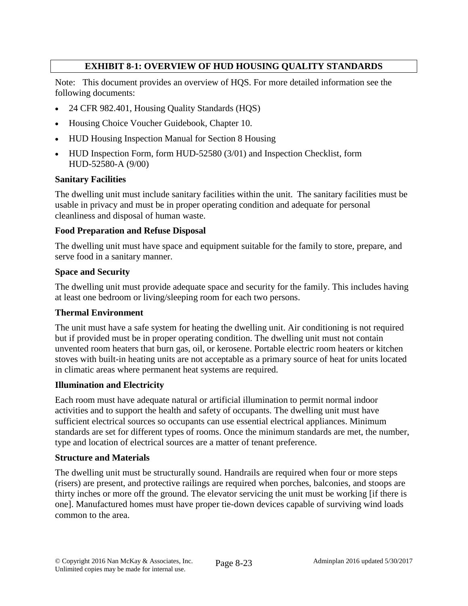# **EXHIBIT 8-1: OVERVIEW OF HUD HOUSING QUALITY STANDARDS**

Note: This document provides an overview of HQS. For more detailed information see the following documents:

- 24 CFR 982.401, Housing Quality Standards (HQS)
- Housing Choice Voucher Guidebook, Chapter 10.
- HUD Housing Inspection Manual for Section 8 Housing
- HUD Inspection Form, form HUD-52580 (3/01) and Inspection Checklist, form HUD-52580-A (9/00)

## **Sanitary Facilities**

The dwelling unit must include sanitary facilities within the unit. The sanitary facilities must be usable in privacy and must be in proper operating condition and adequate for personal cleanliness and disposal of human waste.

## **Food Preparation and Refuse Disposal**

The dwelling unit must have space and equipment suitable for the family to store, prepare, and serve food in a sanitary manner.

#### **Space and Security**

The dwelling unit must provide adequate space and security for the family. This includes having at least one bedroom or living/sleeping room for each two persons.

#### **Thermal Environment**

The unit must have a safe system for heating the dwelling unit. Air conditioning is not required but if provided must be in proper operating condition. The dwelling unit must not contain unvented room heaters that burn gas, oil, or kerosene. Portable electric room heaters or kitchen stoves with built-in heating units are not acceptable as a primary source of heat for units located in climatic areas where permanent heat systems are required.

## **Illumination and Electricity**

Each room must have adequate natural or artificial illumination to permit normal indoor activities and to support the health and safety of occupants. The dwelling unit must have sufficient electrical sources so occupants can use essential electrical appliances. Minimum standards are set for different types of rooms. Once the minimum standards are met, the number, type and location of electrical sources are a matter of tenant preference.

#### **Structure and Materials**

The dwelling unit must be structurally sound. Handrails are required when four or more steps (risers) are present, and protective railings are required when porches, balconies, and stoops are thirty inches or more off the ground. The elevator servicing the unit must be working [if there is one]. Manufactured homes must have proper tie-down devices capable of surviving wind loads common to the area.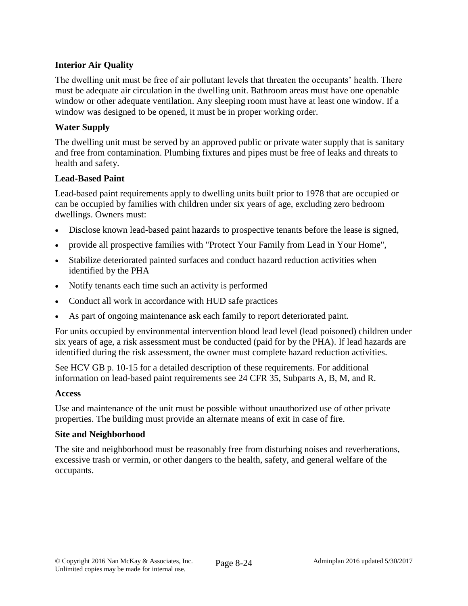# **Interior Air Quality**

The dwelling unit must be free of air pollutant levels that threaten the occupants' health. There must be adequate air circulation in the dwelling unit. Bathroom areas must have one openable window or other adequate ventilation. Any sleeping room must have at least one window. If a window was designed to be opened, it must be in proper working order.

## **Water Supply**

The dwelling unit must be served by an approved public or private water supply that is sanitary and free from contamination. Plumbing fixtures and pipes must be free of leaks and threats to health and safety.

## **Lead-Based Paint**

Lead-based paint requirements apply to dwelling units built prior to 1978 that are occupied or can be occupied by families with children under six years of age, excluding zero bedroom dwellings. Owners must:

- Disclose known lead-based paint hazards to prospective tenants before the lease is signed,
- provide all prospective families with "Protect Your Family from Lead in Your Home",
- Stabilize deteriorated painted surfaces and conduct hazard reduction activities when identified by the PHA
- Notify tenants each time such an activity is performed
- Conduct all work in accordance with HUD safe practices
- As part of ongoing maintenance ask each family to report deteriorated paint.

For units occupied by environmental intervention blood lead level (lead poisoned) children under six years of age, a risk assessment must be conducted (paid for by the PHA). If lead hazards are identified during the risk assessment, the owner must complete hazard reduction activities.

See HCV GB p. 10-15 for a detailed description of these requirements. For additional information on lead-based paint requirements see 24 CFR 35, Subparts A, B, M, and R.

## **Access**

Use and maintenance of the unit must be possible without unauthorized use of other private properties. The building must provide an alternate means of exit in case of fire.

## **Site and Neighborhood**

The site and neighborhood must be reasonably free from disturbing noises and reverberations, excessive trash or vermin, or other dangers to the health, safety, and general welfare of the occupants.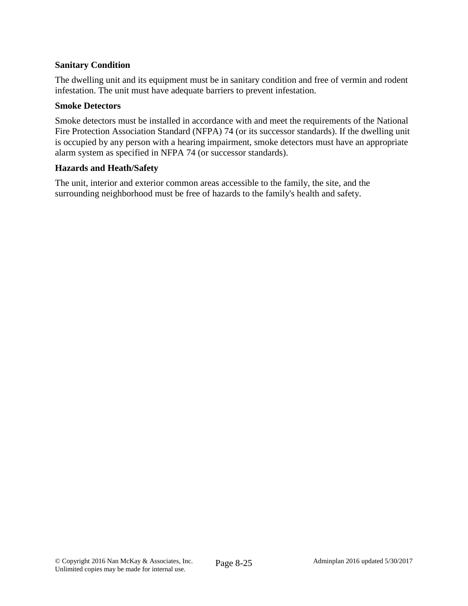## **Sanitary Condition**

The dwelling unit and its equipment must be in sanitary condition and free of vermin and rodent infestation. The unit must have adequate barriers to prevent infestation.

#### **Smoke Detectors**

Smoke detectors must be installed in accordance with and meet the requirements of the National Fire Protection Association Standard (NFPA) 74 (or its successor standards). If the dwelling unit is occupied by any person with a hearing impairment, smoke detectors must have an appropriate alarm system as specified in NFPA 74 (or successor standards).

#### **Hazards and Heath/Safety**

The unit, interior and exterior common areas accessible to the family, the site, and the surrounding neighborhood must be free of hazards to the family's health and safety.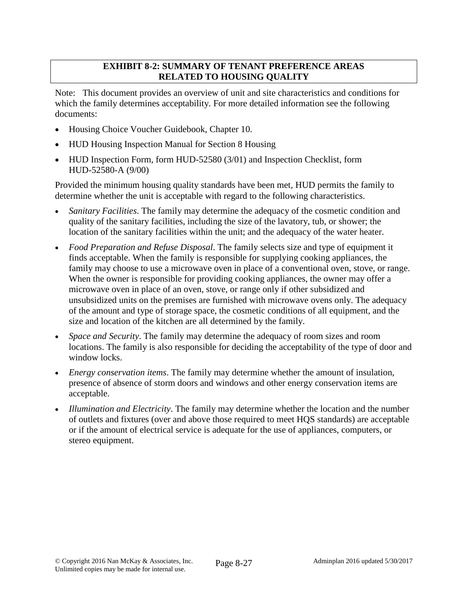# **EXHIBIT 8-2: SUMMARY OF TENANT PREFERENCE AREAS RELATED TO HOUSING QUALITY**

Note: This document provides an overview of unit and site characteristics and conditions for which the family determines acceptability. For more detailed information see the following documents:

- Housing Choice Voucher Guidebook, Chapter 10.
- HUD Housing Inspection Manual for Section 8 Housing
- HUD Inspection Form, form HUD-52580 (3/01) and Inspection Checklist, form HUD-52580-A (9/00)

Provided the minimum housing quality standards have been met, HUD permits the family to determine whether the unit is acceptable with regard to the following characteristics.

- *Sanitary Facilities*. The family may determine the adequacy of the cosmetic condition and quality of the sanitary facilities, including the size of the lavatory, tub, or shower; the location of the sanitary facilities within the unit; and the adequacy of the water heater.
- *Food Preparation and Refuse Disposal*. The family selects size and type of equipment it finds acceptable. When the family is responsible for supplying cooking appliances, the family may choose to use a microwave oven in place of a conventional oven, stove, or range. When the owner is responsible for providing cooking appliances, the owner may offer a microwave oven in place of an oven, stove, or range only if other subsidized and unsubsidized units on the premises are furnished with microwave ovens only. The adequacy of the amount and type of storage space, the cosmetic conditions of all equipment, and the size and location of the kitchen are all determined by the family.
- *Space and Security*. The family may determine the adequacy of room sizes and room locations. The family is also responsible for deciding the acceptability of the type of door and window locks.
- *Energy conservation items*. The family may determine whether the amount of insulation, presence of absence of storm doors and windows and other energy conservation items are acceptable.
- *Illumination and Electricity*. The family may determine whether the location and the number of outlets and fixtures (over and above those required to meet HQS standards) are acceptable or if the amount of electrical service is adequate for the use of appliances, computers, or stereo equipment.